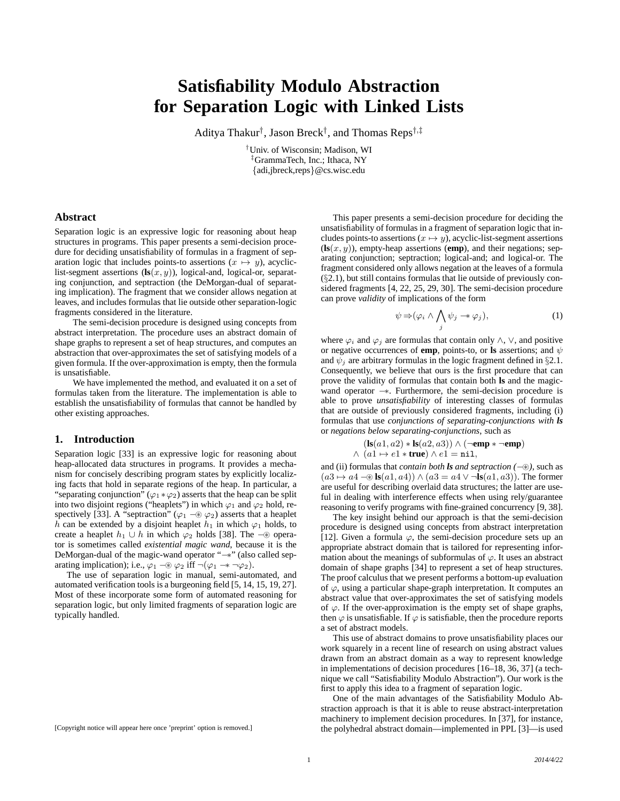# **Satisfiability Modulo Abstraction for Separation Logic with Linked Lists**

Aditya Thakur† , Jason Breck† , and Thomas Reps†,‡

†Univ. of Wisconsin; Madison, WI ‡GrammaTech, Inc.; Ithaca, NY {adi,jbreck,reps}@cs.wisc.edu

# **Abstract**

Separation logic is an expressive logic for reasoning about heap structures in programs. This paper presents a semi-decision procedure for deciding unsatisfiability of formulas in a fragment of separation logic that includes points-to assertions  $(x \mapsto y)$ , acycliclist-segment assertions  $(\mathbf{ls}(x, y))$ , logical-and, logical-or, separating conjunction, and septraction (the DeMorgan-dual of separating implication). The fragment that we consider allows negation at leaves, and includes formulas that lie outside other separation-logic fragments considered in the literature.

The semi-decision procedure is designed using concepts from abstract interpretation. The procedure uses an abstract domain of shape graphs to represent a set of heap structures, and computes an abstraction that over-approximates the set of satisfying models of a given formula. If the over-approximation is empty, then the formula is unsatisfiable.

We have implemented the method, and evaluated it on a set of formulas taken from the literature. The implementation is able to establish the unsatisfiability of formulas that cannot be handled by other existing approaches.

## **1. Introduction**

Separation logic [33] is an expressive logic for reasoning about heap-allocated data structures in programs. It provides a mechanism for concisely describing program states by explicitly localizing facts that hold in separate regions of the heap. In particular, a "separating conjunction" ( $\varphi_1 * \varphi_2$ ) asserts that the heap can be split into two disjoint regions ("heaplets") in which  $\varphi_1$  and  $\varphi_2$  hold, respectively [33]. A "septraction" ( $\varphi_1 \neg \circledast \varphi_2$ ) asserts that a heaplet h can be extended by a disjoint heaplet  $h_1$  in which  $\varphi_1$  holds, to create a heaplet  $h_1 \cup h$  in which  $\varphi_2$  holds [38]. The  $-\circledast$  operator is sometimes called *existential magic wand*, because it is the DeMorgan-dual of the magic-wand operator "−∗" (also called separating implication); i.e.,  $\varphi_1 \neg \circledast \varphi_2$  iff  $\neg(\varphi_1 \rightarrow \neg \varphi_2)$ .

The use of separation logic in manual, semi-automated, and automated verification tools is a burgeoning field [5, 14, 15, 19, 27]. Most of these incorporate some form of automated reasoning for separation logic, but only limited fragments of separation logic are typically handled.

This paper presents a semi-decision procedure for deciding the unsatisfiability of formulas in a fragment of separation logic that includes points-to assertions  $(x \mapsto y)$ , acyclic-list-segment assertions  $(\mathbf{ls}(x, y))$ , empty-heap assertions (**emp**), and their negations; separating conjunction; septraction; logical-and; and logical-or. The fragment considered only allows negation at the leaves of a formula (§2.1), but still contains formulas that lie outside of previously considered fragments [4, 22, 25, 29, 30]. The semi-decision procedure can prove *validity* of implications of the form

$$
\psi \Rightarrow (\varphi_i \land \bigwedge_j \psi_j \twoheadrightarrow \varphi_j), \tag{1}
$$

where  $\varphi_i$  and  $\varphi_j$  are formulas that contain only ∧, ∨, and positive or negative occurrences of **emp**, points-to, or **ls** assertions; and  $\psi$ and  $\psi_i$  are arbitrary formulas in the logic fragment defined in §2.1. Consequently, we believe that ours is the first procedure that can prove the validity of formulas that contain both **ls** and the magicwand operator −∗. Furthermore, the semi-decision procedure is able to prove *unsatisfiability* of interesting classes of formulas that are outside of previously considered fragments, including (i) formulas that use *conjunctions of separating-conjunctions with ls* or *negations below separating-conjunctions*, such as

$$
(\mathbf{ls}(a1, a2) * \mathbf{ls}(a2, a3)) \land (\neg \mathbf{emp} * \neg \mathbf{emp})
$$
  
 
$$
\land \ (a1 \mapsto e1 * \mathbf{true}) \land e1 = \mathtt{nil},
$$

and (ii) formulas that *contain both ls and septraction (*−⊛*)*, such as  $(a3 \mapsto a4 - \otimes \mathbf{ls}(a1, a4)) \wedge (a3 = a4 \vee \neg \mathbf{ls}(a1, a3))$ . The former are useful for describing overlaid data structures; the latter are useful in dealing with interference effects when using rely/guarantee reasoning to verify programs with fine-grained concurrency [9, 38].

The key insight behind our approach is that the semi-decision procedure is designed using concepts from abstract interpretation [12]. Given a formula  $\varphi$ , the semi-decision procedure sets up an appropriate abstract domain that is tailored for representing information about the meanings of subformulas of  $\varphi$ . It uses an abstract domain of shape graphs [34] to represent a set of heap structures. The proof calculus that we present performs a bottom-up evaluation of  $\varphi$ , using a particular shape-graph interpretation. It computes an abstract value that over-approximates the set of satisfying models of  $\varphi$ . If the over-approximation is the empty set of shape graphs, then  $\varphi$  is unsatisfiable. If  $\varphi$  is satisfiable, then the procedure reports a set of abstract models.

This use of abstract domains to prove unsatisfiability places our work squarely in a recent line of research on using abstract values drawn from an abstract domain as a way to represent knowledge in implementations of decision procedures [16–18, 36, 37] (a technique we call "Satisfiability Modulo Abstraction"). Our work is the first to apply this idea to a fragment of separation logic.

One of the main advantages of the Satisfiability Modulo Abstraction approach is that it is able to reuse abstract-interpretation machinery to implement decision procedures. In [37], for instance, the polyhedral abstract domain—implemented in PPL [3]—is used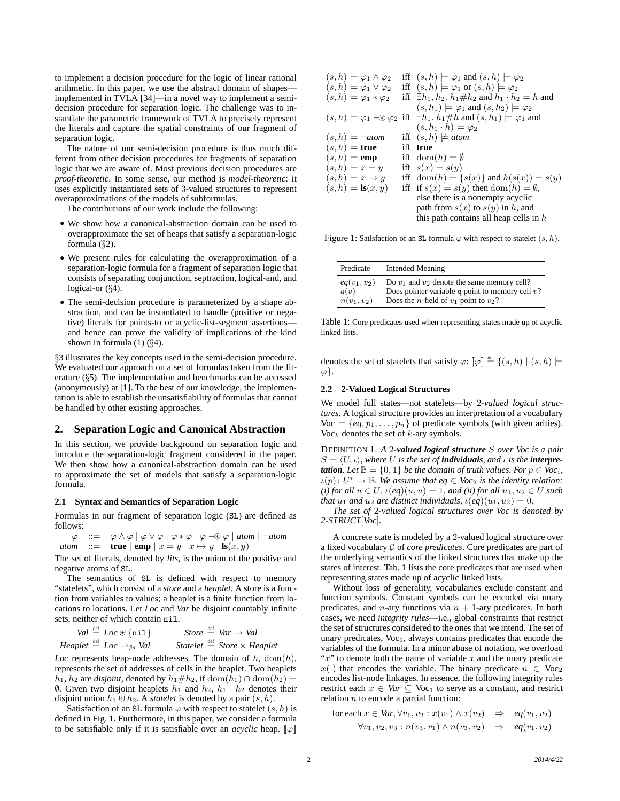to implement a decision procedure for the logic of linear rational arithmetic. In this paper, we use the abstract domain of shapes implemented in TVLA [34]—in a novel way to implement a semidecision procedure for separation logic. The challenge was to instantiate the parametric framework of TVLA to precisely represent the literals and capture the spatial constraints of our fragment of separation logic.

The nature of our semi-decision procedure is thus much different from other decision procedures for fragments of separation logic that we are aware of. Most previous decision procedures are *proof-theoretic*. In some sense, our method is *model-theoretic*: it uses explicitly instantiated sets of 3-valued structures to represent overapproximations of the models of subformulas.

The contributions of our work include the following:

- We show how a canonical-abstraction domain can be used to overapproximate the set of heaps that satisfy a separation-logic formula (§2).
- We present rules for calculating the overapproximation of a separation-logic formula for a fragment of separation logic that consists of separating conjunction, septraction, logical-and, and logical-or  $(\S4)$ .
- The semi-decision procedure is parameterized by a shape abstraction, and can be instantiated to handle (positive or negative) literals for points-to or acyclic-list-segment assertions and hence can prove the validity of implications of the kind shown in formula  $(1)$   $(\S4)$ .

§3 illustrates the key concepts used in the semi-decision procedure. We evaluated our approach on a set of formulas taken from the literature (§5). The implementation and benchmarks can be accessed (anonymously) at [1]. To the best of our knowledge, the implementation is able to establish the unsatisfiability of formulas that cannot be handled by other existing approaches.

#### **2. Separation Logic and Canonical Abstraction**

In this section, we provide background on separation logic and introduce the separation-logic fragment considered in the paper. We then show how a canonical-abstraction domain can be used to approximate the set of models that satisfy a separation-logic formula.

#### **2.1 Syntax and Semantics of Separation Logic**

Formulas in our fragment of separation logic (SL) are defined as follows:

$$
\varphi ::= \varphi \land \varphi \mid \varphi \lor \varphi \mid \varphi * \varphi \mid \varphi \neg \circledast \varphi \mid \text{atom} \mid \neg \text{atom}
$$
  
atom ::= **true**  $\mid$  **emp**  $\mid x = y \mid x \mapsto y \mid$  **ls** $(x, y)$ 

The set of literals, denoted by *lits*, is the union of the positive and negative atoms of SL.

The semantics of SL is defined with respect to memory "statelets", which consist of a *store* and a *heaplet*. A store is a function from variables to values; a heaplet is a finite function from locations to locations. Let *Loc* and *Var* be disjoint countably infinite sets, neither of which contain nil.

$$
Val \stackrel{\text{def}}{=} Loc \oplus \{\texttt{nil}\} \qquad \text{Store} \stackrel{\text{def}}{=} Var \to Val
$$
  
 
$$
Heaplet \stackrel{\text{def}}{=} Loc \to_{fin} Val \qquad \text{Statelet} \stackrel{\text{def}}{=} Store \times Heaplet
$$

*Loc* represents heap-node addresses. The domain of  $h$ , dom( $h$ ), represents the set of addresses of cells in the heaplet. Two heaplets  $h_1$ ,  $h_2$  are *disjoint*, denoted by  $h_1# h_2$ , if  $dom(h_1) ∩ dom(h_2)$  = Ø. Given two disjoint heaplets  $h_1$  and  $h_2$ ,  $h_1 \cdot h_2$  denotes their disjoint union  $h_1 \oplus h_2$ . A *statelet* is denoted by a pair  $(s, h)$ .

Satisfaction of an SL formula  $\varphi$  with respect to statelet  $(s, h)$  is defined in Fig. 1. Furthermore, in this paper, we consider a formula to be satisfiable only if it is satisfiable over an *acyclic* heap.  $[\varphi]$ 

| $(s, h) \models \varphi_1 \wedge \varphi_2$ | iff $(s, h) \models \varphi_1$ and $(s, h) \models \varphi_2$                                                             |
|---------------------------------------------|---------------------------------------------------------------------------------------------------------------------------|
| $(s, h) \models \varphi_1 \vee \varphi_2$   | iff $(s, h) \models \varphi_1$ or $(s, h) \models \varphi_2$                                                              |
| $(s, h) \models \varphi_1 * \varphi_2$      | iff $\exists h_1, h_2, h_1 \# h_2$ and $h_1 \cdot h_2 = h$ and                                                            |
|                                             | $(s, h_1) \models \varphi_1$ and $(s, h_2) \models \varphi_2$                                                             |
|                                             | $(s, h) \models \varphi_1 \rightarrow \varphi_2$ iff $\exists h_1 \ldots h_1 \neq h$ and $(s, h_1) \models \varphi_1$ and |
|                                             | $(s, h_1 \cdot h) \models \varphi_2$                                                                                      |
| $(s, h) \models \neg atom$                  | iff $(s, h) \not\models atom$                                                                                             |
| $(s, h) \models$ true                       | iff true                                                                                                                  |
| $(s,h) \models$ <b>emp</b>                  | iff $dom(h) = \emptyset$                                                                                                  |
| $(s,h) \models x = y$                       | iff $s(x) = s(y)$                                                                                                         |
| $(s, h) \models x \mapsto y$                | iff $dom(h) = \{s(x)\}\$ and $h(s(x)) = s(y)$                                                                             |
| $(s, h) \models \mathbf{ls}(x, y)$          | iff if $s(x) = s(y)$ then $dom(h) = \emptyset$ ,                                                                          |
|                                             | else there is a nonempty acyclic                                                                                          |
|                                             |                                                                                                                           |
|                                             | path from $s(x)$ to $s(y)$ in h, and                                                                                      |

Figure 1: Satisfaction of an SL formula  $\varphi$  with respect to statelet  $(s, h)$ .

| Predicate      | <b>Intended Meaning</b>                            |
|----------------|----------------------------------------------------|
| $eq(v_1, v_2)$ | Do $v_1$ and $v_2$ denote the same memory cell?    |
| q(v)           | Does pointer variable q point to memory cell $v$ ? |
| $n(v_1, v_2)$  | Does the <i>n</i> -field of $v_1$ point to $v_2$ ? |

Table 1: Core predicates used when representing states made up of acyclic linked lists.

denotes the set of statelets that satisfy  $\varphi: \llbracket \varphi \rrbracket \stackrel{\text{def}}{=} \{(s, h) \mid (s, h) \models$  $\varphi$ .

#### **2.2 2-Valued Logical Structures**

We model full states—not statelets—by 2*-valued logical structures*. A logical structure provides an interpretation of a vocabulary  $\text{Voc} = \{eq, p_1, \ldots, p_n\}$  of predicate symbols (with given arities). Voc<sub>k</sub> denotes the set of  $k$ -ary symbols.

DEFINITION 1. *A* 2*-valued logical structure* S *over Voc is a pair*  $S = \langle U, \iota \rangle$ *, where* U *is the set of individuals, and*  $\iota$  *is the <i>interpretation.* Let  $\mathbb{B} = \{0, 1\}$  *be the domain of truth values. For*  $p \in \text{Voc}_i$ *,*  $u(p): U^i \to \mathbb{B}$ . We assume that eq  $\in$  Voc<sub>2</sub> is the identity relation:  $(i)$  for all  $u \in U$ ,  $\iota$ (eq)(u, u) = 1, and (ii) for all  $u_1, u_2 \in U$  such *that*  $u_1$  *and*  $u_2$  *are distinct individuals,*  $\iota$ (*eq*)( $u_1, u_2$ ) = 0*.* 

*The set of* 2*-valued logical structures over Voc is denoted by 2-STRUCT*[*Voc*]*.*

A concrete state is modeled by a 2-valued logical structure over a fixed vocabulary C of *core predicates*. Core predicates are part of the underlying semantics of the linked structures that make up the states of interest. Tab. 1 lists the core predicates that are used when representing states made up of acyclic linked lists.

Without loss of generality, vocabularies exclude constant and function symbols. Constant symbols can be encoded via unary predicates, and *n*-ary functions via  $n + 1$ -ary predicates. In both cases, we need *integrity rules*—i.e., global constraints that restrict the set of structures considered to the ones that we intend. The set of unary predicates,  $Voc<sub>1</sub>$ , always contains predicates that encode the variables of the formula. In a minor abuse of notation, we overload " $x$ " to denote both the name of variable  $x$  and the unary predicate  $x(\cdot)$  that encodes the variable. The binary predicate  $n \in \text{Voc}_2$ encodes list-node linkages. In essence, the following integrity rules restrict each  $x \in Var \subseteq \text{Voc}_1$  to serve as a constant, and restrict relation  $n$  to encode a partial function:

$$
\begin{array}{rcl}\n\text{for each } x \in \text{Var}, \forall v_1, v_2 : x(v_1) \land x(v_2) & \Rightarrow & eq(v_1, v_2) \\
\forall v_1, v_2, v_3 : n(v_3, v_1) \land n(v_3, v_2) & \Rightarrow & eq(v_1, v_2)\n\end{array}
$$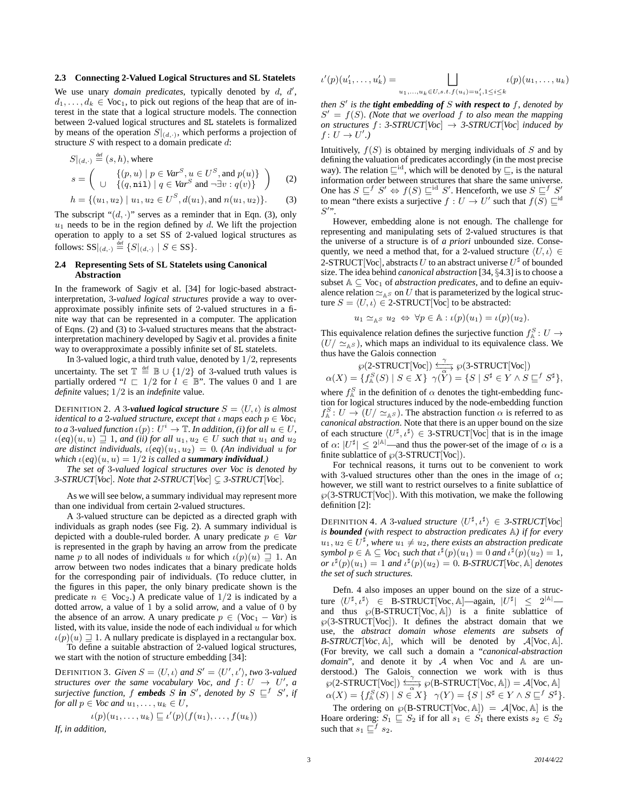### **2.3 Connecting 2-Valued Logical Structures and SL Statelets**

We use unary *domain predicates*, typically denoted by d, d',  $d_1, \ldots, d_k \in \text{Voc}_1$ , to pick out regions of the heap that are of interest in the state that a logical structure models. The connection between 2-valued logical structures and SL statelets is formalized by means of the operation  $S|_{(d,\cdot)}$ , which performs a projection of structure  $S$  with respect to a domain predicate  $d$ :

$$
S|_{(d,\cdot)} \stackrel{\text{def}}{=} (s,h), \text{ where}
$$
  

$$
s = \left( \begin{array}{cc} \{ (p,u) \mid p \in \text{Var}^S, u \in U^S, \text{and } p(u) \} \\ \cup \{ (q,\text{nil}) \mid q \in \text{Var}^S \text{ and } \neg \exists v : q(v) \} \end{array} \right)
$$
 (2)

$$
h = \{(u_1, u_2) \mid u_1, u_2 \in U^S, d(u_1), \text{and } n(u_1, u_2)\}.
$$
 (3)

The subscript " $(d, \cdot)$ " serves as a reminder that in Eqn. (3), only  $u_1$  needs to be in the region defined by d. We lift the projection operation to apply to a set SS of 2-valued logical structures as follows:  $SS|_{(d,\cdot)} \stackrel{\text{def}}{=} \{S|_{(d,\cdot)} \mid S \in SS\}.$ 

## **2.4 Representing Sets of SL Statelets using Canonical Abstraction**

In the framework of Sagiv et al. [34] for logic-based abstractinterpretation, 3*-valued logical structures* provide a way to overapproximate possibly infinite sets of 2-valued structures in a finite way that can be represented in a computer. The application of Eqns. (2) and (3) to 3-valued structures means that the abstractinterpretation machinery developed by Sagiv et al. provides a finite way to overapproximate a possibly infinite set of SL statelets.

In 3-valued logic, a third truth value, denoted by 1/2, represents uncertainty. The set  $\mathbb{T} \stackrel{\text{def}}{=} \mathbb{B} \cup \{1/2\}$  of 3-valued truth values is partially ordered " $l \nightharpoonup 1/2$  for  $l \in \mathbb{B}$ ". The values 0 and 1 are *definite* values; 1/2 is an *indefinite* value.

DEFINITION 2. *A* 3-valued logical structure  $S = \langle U, \iota \rangle$  is almost *identical to a 2-valued structure, except that*  $\iota$  *maps each*  $p \in \text{Voc}_i$ *to a* 3-valued function  $\iota(p) \colon U^i \to \mathbb{T}$ . In addition, (i) for all  $u \in U$ ,  $u(eq)(u, u) \supseteq 1$ , and (ii) for all  $u_1, u_2 \in U$  such that  $u_1$  and  $u_2$ *are distinct individuals,*  $\iota$ (*eq*)( $u_1, u_2$ ) = 0*.* (An *individual* u *for which*  $\iota$ (*eq*)( $u, u$ ) = 1/2 *is called a <i>summary individual*.)

*The set of* 3*-valued logical structures over Voc is denoted by 3-STRUCT*[*Voc*]*. Note that 2-STRUCT*[*Voc*]  $\subseteq$  *3-STRUCT*[*Voc*]*.* 

As we will see below, a summary individual may represent more than one individual from certain 2-valued structures.

A 3-valued structure can be depicted as a directed graph with individuals as graph nodes (see Fig. 2). A summary individual is depicted with a double-ruled border. A unary predicate  $p \in Var$ is represented in the graph by having an arrow from the predicate name p to all nodes of individuals u for which  $\iota(p)(u) \supseteq 1$ . An arrow between two nodes indicates that a binary predicate holds for the corresponding pair of individuals. (To reduce clutter, in the figures in this paper, the only binary predicate shown is the predicate  $n \in \text{Voc}_2$ .) A predicate value of  $1/2$  is indicated by a dotted arrow, a value of 1 by a solid arrow, and a value of 0 by the absence of an arrow. A unary predicate  $p \in (Voc_1 - Var)$  is listed, with its value, inside the node of each individual  $u$  for which  $u(p)(u) \supseteq 1$ . A nullary predicate is displayed in a rectangular box.

To define a suitable abstraction of 2-valued logical structures, we start with the notion of structure embedding [34]:

**DEFINITION 3.** Given  $S = \langle U, \iota \rangle$  and  $S' = \langle U', \iota' \rangle$ , two 3-valued *structures over the same vocabulary Voc, and*  $f: U \rightarrow U'$ , a *surjective function,* f *embeds* S in S', denoted by  $S \subseteq$ <sup>f</sup> S', if *for all*  $p \in \text{Voc}$  *and*  $u_1, \ldots, u_k \in U$ *,* 

$$
\iota(p)(u_1,\ldots,u_k)\sqsubseteq\iota'(p)(f(u_1),\ldots,f(u_k))
$$

*If, in addition,*

$$
\iota'(p)(u'_1, \dots, u'_k) = \bigsqcup_{u_1, \dots, u_k \in U, s.t. f(u_i) = u'_i, 1 \le i \le k} \iota(p)(u_1, \dots, u_k)
$$

*then* S ′ *is the tight embedding of* S *with respect to* f*, denoted by*  $S' = f(S)$ . (Note that we overload f to also mean the mapping *on structures*  $f : 3\text{-}STRUCT[Vec] \rightarrow 3\text{-}STRUCT[Vec]$  *induced by*  $f: U \to U'.$ 

Intuitively,  $f(S)$  is obtained by merging individuals of S and by defining the valuation of predicates accordingly (in the most precise way). The relation  $\sqsubseteq^{\text{id}}$ , which will be denoted by  $\sqsubseteq$ , is the natural information order between structures that share the same universe. One has  $S \sqsubseteq^f S' \Leftrightarrow f(S) \sqsubseteq^{\text{id}} S'$ . Henceforth, we use  $S \sqsubseteq^f S'$ to mean "there exists a surjective  $f: U \to U'$  such that  $f(S) \sqsubseteq^{\text{id}}$  $S^{\prime}$ ".

However, embedding alone is not enough. The challenge for representing and manipulating sets of 2-valued structures is that the universe of a structure is of *a priori* unbounded size. Consequently, we need a method that, for a 2-valued structure  $\langle U, \iota \rangle \in$ 2-STRUCT[Voc], abstracts  $U$  to an abstract universe  $U^\sharp$  of bounded size. The idea behind *canonical abstraction* [34, §4.3] is to choose a subset  $A \subseteq \text{Voc}_1$  of *abstraction predicates*, and to define an equivalence relation  $\simeq_{\mathbb{A}^S}$  on U that is parameterized by the logical structure  $S = \langle U, \iota \rangle \in 2\text{-STRUCT}[\text{Voc}]$  to be abstracted:

$$
u_1 \simeq_{\mathbb{A}^S} u_2 \Leftrightarrow \forall p \in \mathbb{A} : \iota(p)(u_1) = \iota(p)(u_2).
$$

This equivalence relation defines the surjective function  $f_{\mathbb{A}}^S: U \to$  $(U/\simeq_{A} s)$ , which maps an individual to its equivalence class. We thus have the Galois connection

$$
\wp(2\text{-STRUCT[Vec])} \xrightarrow{\curvearrowleft} \wp(3\text{-STRUCT[Vec])} \\ \alpha(X) = \{ f_A^S(S) \mid S \in X \} \gamma(Y) = \{ S \mid S^{\sharp} \in Y \land S \sqsubseteq^f S^{\sharp} \},
$$

where  $f_A^S$  in the definition of  $\alpha$  denotes the tight-embedding function for logical structures induced by the node-embedding function  $f_{\mathbb{A}}^S: U \to (U/\simeq_{\mathbb{A}^S})$ . The abstraction function  $\alpha$  is referred to as *canonical abstraction*. Note that there is an upper bound on the size of each structure  $\langle U^{\sharp}, \iota^{\sharp} \rangle \in 3\text{-STRUCT}[\text{Voc}]$  that is in the image of  $\alpha$ :  $|U^{\sharp}| \leq 2^{|A|}$  and thus the power-set of the image of  $\alpha$  is a finite sublattice of  $\wp$ (3-STRUCT[Voc]).

For technical reasons, it turns out to be convenient to work with 3-valued structures other than the ones in the image of  $\alpha$ ; however, we still want to restrict ourselves to a finite sublattice of  $\wp$ (3-STRUCT[Voc]). With this motivation, we make the following definition [2]:

DEFINITION 4. A 3-valued structure  $\langle U^{\sharp}, \iota^{\sharp} \rangle \in 3\text{-}STRUCT[Voc]$ *is bounded (with respect to abstraction predicates* A*) if for every*  $u_1, u_2 \in U^{\sharp}$ , where  $u_1 \neq u_2$ , there exists an abstraction predicate *symbol*  $p \in \mathbb{A} \subseteq \text{Voc}_1$  *such that*  $\iota^{\sharp}(p)(u_1) = 0$  *and*  $\iota^{\sharp}(p)(u_2) = 1$ *,*  $or \iota^{\sharp}(p)(u_1) = 1$  *and*  $\iota^{\sharp}(p)(u_2) = 0$ *. B-STRUCT*[*Voc*,  $\mathbb{A}]$  *denotes the set of such structures.*

Defn. 4 also imposes an upper bound on the size of a structure  $\langle U^{\sharp}, \iota^{\sharp} \rangle \in \text{B-STRUCT}[\text{Voc}, \mathbb{A}]$ —again,  $|U^{\sharp}| \leq 2^{|\mathbb{A}|}$  and thus  $\wp(B\text{-}STRUCT[{\rm Voc}, \mathbb{A}])$  is a finite sublattice of  $\wp$ (3-STRUCT[Voc]). It defines the abstract domain that we use, the *abstract domain whose elements are subsets of B-STRUCT*[*Voc*,  $\mathbb{A}$ ], which will be denoted by  $\mathcal{A}$ [*Voc*,  $\mathbb{A}$ ]. (For brevity, we call such a domain a "*canonical-abstraction domain*", and denote it by A when Voc and A are understood.) The Galois connection we work with is thus  $\wp(2\text{-}STRUCT[Vec]) \xrightarrow[\alpha]{\sim}$  $\frac{\gamma}{\gamma}$   $\wp$  (B-STRUCT[Voc, A]) = A[Voc, A]  $\alpha(X) = \{f_{\mathbb{A}}^S(S) \mid S \in X\}$   $\gamma(Y) = \{S \mid S^{\sharp} \in Y \wedge S \sqsubseteq^{f} S^{\sharp}\}.$ 

The ordering on  $\wp(B\text{-}STRUCT[{\rm Voc}, {\mathbb A}]) = A[{\rm Voc}, {\mathbb A}]$  is the Hoare ordering:  $S_1 \subseteq S_2$  if for all  $s_1 \in S_1$  there exists  $s_2 \in S_2$ such that  $s_1 \sqsubseteq^f s_2$ .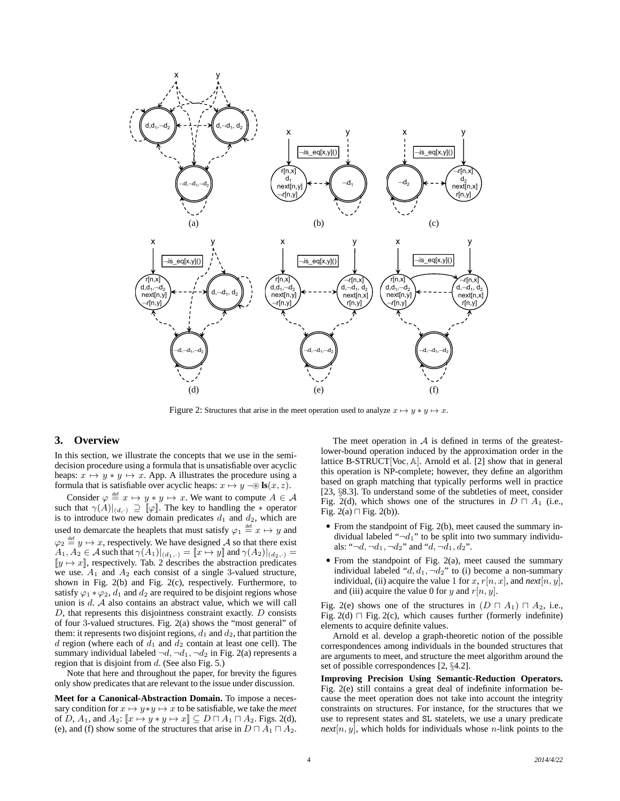

Figure 2: Structures that arise in the meet operation used to analyze  $x \mapsto y * y \mapsto x$ .

# **3. Overview**

In this section, we illustrate the concepts that we use in the semidecision procedure using a formula that is unsatisfiable over acyclic heaps:  $x \mapsto y * y \mapsto x$ . App. A illustrates the procedure using a formula that is satisfiable over acyclic heaps:  $x \mapsto y - \otimes \textbf{ls}(x, z)$ .

Consider  $\varphi \stackrel{\text{def}}{=} x \mapsto y * y \mapsto x$ . We want to compute  $A \in \mathcal{A}$ such that  $\gamma(A)|_{(d,\cdot)} \supseteq [\![\varphi]\!]$ . The key to handling the  $*$  operator is to introduce two new domain predicates  $d_1$  and  $d_2$ , which are used to demarcate the heaplets that must satisfy  $\varphi_1 \stackrel{\text{def}}{=} x \mapsto y$  and  $\varphi_2 \stackrel{\text{def}}{=} y \mapsto x$ , respectively. We have designed A so that there exist  $A_1, A_2 \in \mathcal{A}$  such that  $\gamma(A_1)|_{(d_1,\cdot)} = \llbracket x \mapsto y \rrbracket$  and  $\gamma(A_2)|_{(d_2,\cdot)} =$  $[y \mapsto x]$ , respectively. Tab. 2 describes the abstraction predicates we use.  $A_1$  and  $A_2$  each consist of a single 3-valued structure, shown in Fig. 2(b) and Fig. 2(c), respectively. Furthermore, to satisfy  $\varphi_1 * \varphi_2$ ,  $d_1$  and  $d_2$  are required to be disjoint regions whose union is  $d$ .  $A$  also contains an abstract value, which we will call D, that represents this disjointness constraint exactly. D consists of four 3-valued structures. Fig. 2(a) shows the "most general" of them: it represents two disjoint regions,  $d_1$  and  $d_2$ , that partition the d region (where each of  $d_1$  and  $d_2$  contain at least one cell). The summary individual labeled  $\neg d, \neg d_1, \neg d_2$  in Fig. 2(a) represents a region that is disjoint from  $d$ . (See also Fig. 5.)

Note that here and throughout the paper, for brevity the figures only show predicates that are relevant to the issue under discussion.

**Meet for a Canonical-Abstraction Domain.** To impose a necessary condition for  $x \mapsto y*y \mapsto x$  to be satisfiable, we take the *meet* of D,  $A_1$ , and  $A_2$ :  $\llbracket x \mapsto y * y \mapsto x \rrbracket \subseteq D \sqcap A_1 \sqcap A_2$ . Figs. 2(d), (e), and (f) show some of the structures that arise in  $D \sqcap A_1 \sqcap A_2$ .

The meet operation in  $A$  is defined in terms of the greatestlower-bound operation induced by the approximation order in the lattice B-STRUCT[Voc, A]. Arnold et al. [2] show that in general this operation is NP-complete; however, they define an algorithm based on graph matching that typically performs well in practice [23, §8.3]. To understand some of the subtleties of meet, consider Fig. 2(d), which shows one of the structures in  $D \sqcap A_1$  (i.e., Fig. 2(a) ⊓ Fig. 2(b)).

- From the standpoint of Fig. 2(b), meet caused the summary individual labeled " $\neg d_1$ " to be split into two summary individuals: " $\neg d, \neg d_1, \neg d_2$ " and " $d, \neg d_1, d_2$ ".
- From the standpoint of Fig. 2(a), meet caused the summary individual labeled " $d, d_1, \neg d_2$ " to (i) become a non-summary individual, (ii) acquire the value 1 for x,  $r[n, x]$ , and  $next[n, y]$ , and (iii) acquire the value 0 for y and  $r[n, y]$ .

Fig. 2(e) shows one of the structures in  $(D \sqcap A_1) \sqcap A_2$ , i.e., Fig. 2(d) ⊓ Fig. 2(c), which causes further (formerly indefinite) elements to acquire definite values.

Arnold et al. develop a graph-theoretic notion of the possible correspondences among individuals in the bounded structures that are arguments to meet, and structure the meet algorithm around the set of possible correspondences [2, §4.2].

**Improving Precision Using Semantic-Reduction Operators.** Fig. 2(e) still contains a great deal of indefinite information because the meet operation does not take into account the integrity constraints on structures. For instance, for the structures that we use to represent states and SL statelets, we use a unary predicate  $next[n, y]$ , which holds for individuals whose *n*-link points to the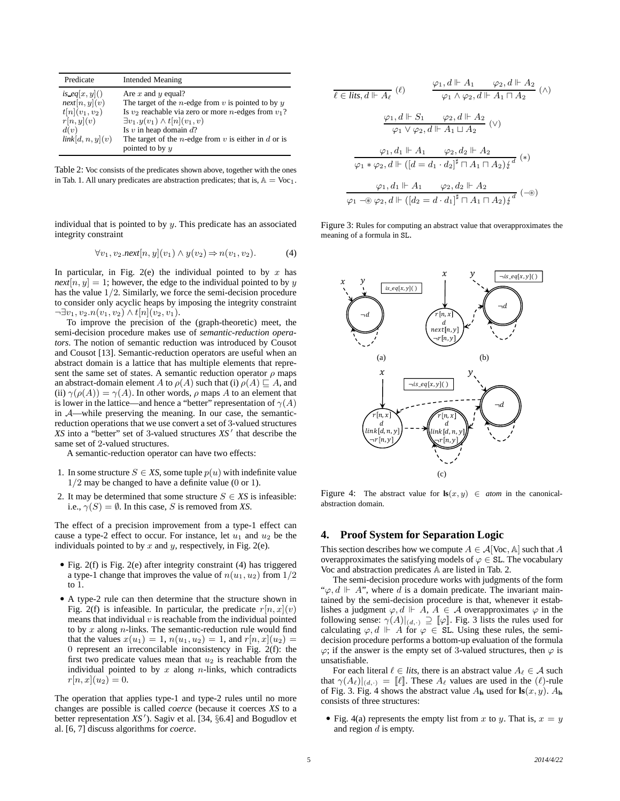| Predicate                                                                                    | <b>Intended Meaning</b>                                                                                                                                                                                                                                                                                                           |
|----------------------------------------------------------------------------------------------|-----------------------------------------------------------------------------------------------------------------------------------------------------------------------------------------------------------------------------------------------------------------------------------------------------------------------------------|
| is eq[x, y]()<br>next[n, y](v)<br>$t[n](v_1, v_2)$<br>r[n, y](v)<br>d(v)<br>link[d, n, y](v) | Are $x$ and $y$ equal?<br>The target of the <i>n</i> -edge from $v$ is pointed to by $y$<br>Is $v_2$ reachable via zero or more <i>n</i> -edges from $v_1$ ?<br>$\exists v_1. y(v_1) \wedge t[n](v_1, v)$<br>Is $v$ in heap domain $d$ ?<br>The target of the <i>n</i> -edge from $v$ is either in $d$ or is<br>pointed to by $y$ |

Table 2: Voc consists of the predicates shown above, together with the ones in Tab. 1. All unary predicates are abstraction predicates; that is,  $A = V_0c_1$ .

individual that is pointed to by  $y$ . This predicate has an associated integrity constraint

$$
\forall v_1, v_2.next[n, y](v_1) \land y(v_2) \Rightarrow n(v_1, v_2). \tag{4}
$$

In particular, in Fig. 2(e) the individual pointed to by  $x$  has  $next[n, y] = 1$ ; however, the edge to the individual pointed to by y has the value 1/2. Similarly, we force the semi-decision procedure to consider only acyclic heaps by imposing the integrity constraint  $\neg \exists v_1, v_2.n(v_1, v_2) \wedge t[n](v_2, v_1).$ 

To improve the precision of the (graph-theoretic) meet, the semi-decision procedure makes use of *semantic-reduction operators*. The notion of semantic reduction was introduced by Cousot and Cousot [13]. Semantic-reduction operators are useful when an abstract domain is a lattice that has multiple elements that represent the same set of states. A semantic reduction operator  $\rho$  maps an abstract-domain element A to  $\rho(A)$  such that (i)  $\rho(A) \sqsubseteq A$ , and (ii)  $\gamma(\rho(A)) = \gamma(A)$ . In other words,  $\rho$  maps A to an element that is lower in the lattice—and hence a "better" representation of  $\gamma(A)$ in A—while preserving the meaning. In our case, the semanticreduction operations that we use convert a set of 3-valued structures *XS* into a "better" set of 3-valued structures *XS* ′ that describe the same set of 2-valued structures.

A semantic-reduction operator can have two effects:

- 1. In some structure  $S \in \mathcal{X}S$ , some tuple  $p(u)$  with indefinite value 1/2 may be changed to have a definite value (0 or 1).
- 2. It may be determined that some structure  $S \in \mathcal{X}S$  is infeasible: i.e.,  $\gamma(S) = \emptyset$ . In this case, S is removed from XS.

The effect of a precision improvement from a type-1 effect can cause a type-2 effect to occur. For instance, let  $u_1$  and  $u_2$  be the individuals pointed to by  $x$  and  $y$ , respectively, in Fig. 2(e).

- Fig. 2(f) is Fig. 2(e) after integrity constraint (4) has triggered a type-1 change that improves the value of  $n(u_1, u_2)$  from  $1/2$ to 1.
- A type-2 rule can then determine that the structure shown in Fig. 2(f) is infeasible. In particular, the predicate  $r[n, x](v)$ means that individual  $v$  is reachable from the individual pointed to by  $x$  along  $n$ -links. The semantic-reduction rule would find that the values  $x(u_1) = 1$ ,  $n(u_1, u_2) = 1$ , and  $r[n, x](u_2) =$ 0 represent an irreconcilable inconsistency in Fig. 2(f): the first two predicate values mean that  $u_2$  is reachable from the individual pointed to by  $x$  along  $n$ -links, which contradicts  $r[n, x](u_2) = 0.$

The operation that applies type-1 and type-2 rules until no more changes are possible is called *coerce* (because it coerces *XS* to a better representation *XS* ′ ). Sagiv et al. [34, §6.4] and Bogudlov et al. [6, 7] discuss algorithms for *coerce*.

$$
\frac{\varphi_1, d \Vdash A_1 \qquad \varphi_2, d \Vdash A_2}{\varphi_1 \wedge \varphi_2, d \Vdash A_1 \sqcap A_2} \quad (\wedge)
$$
\n
$$
\frac{\varphi_1, d \Vdash S_1 \qquad \varphi_2, d \Vdash A_1 \sqcap A_2}{\varphi_1 \vee \varphi_2, d \Vdash A_1 \sqcup A_2} \quad (\vee)
$$
\n
$$
\frac{\varphi_1, d_1 \Vdash A_1 \qquad \varphi_2, d_2 \Vdash A_2}{\varphi_1 * \varphi_2, d \Vdash ([d = d_1 \cdot d_2]^{\frac{1}{4}} \sqcap A_1 \sqcap A_2)_{\not\downarrow}^d} \quad (*)
$$
\n
$$
\frac{\varphi_1, d_1 \Vdash A_1 \qquad \varphi_2, d_2 \Vdash A_2}{\varphi_1 \neg \textcircled{g} \varphi_2, d \Vdash ([d_2 = d \cdot d_1]^{\frac{1}{4}} \sqcap A_1 \sqcap A_2)_{\not\downarrow}^d} \quad (-\circledast)
$$

Figure 3: Rules for computing an abstract value that overapproximates the meaning of a formula in SL.



Figure 4: The abstract value for  $\mathbf{ls}(x, y) \in atom$  in the canonicalabstraction domain.

#### **4. Proof System for Separation Logic**

This section describes how we compute  $A \in \mathcal{A}[\text{Voc}, \mathbb{A}]$  such that A overapproximates the satisfying models of  $\varphi \in SL$ . The vocabulary Voc and abstraction predicates A are listed in Tab. 2.

The semi-decision procedure works with judgments of the form " $\varphi, d \Vdash A$ ", where d is a domain predicate. The invariant maintained by the semi-decision procedure is that, whenever it establishes a judgment  $\varphi, d \Vdash A$ ,  $A \in \mathcal{A}$  overapproximates  $\varphi$  in the following sense:  $\gamma(A)|_{(d,\cdot)} \supseteq [\![\varphi]\!]$ . Fig. 3 lists the rules used for calculating  $\varphi, d \Vdash A$  for  $\varphi \in SL$ . Using these rules, the semidecision procedure performs a bottom-up evaluation of the formula  $\varphi$ ; if the answer is the empty set of 3-valued structures, then  $\varphi$  is unsatisfiable.

For each literal  $\ell \in$  *lits*, there is an abstract value  $A_{\ell} \in \mathcal{A}$  such that  $\gamma(A_\ell)|_{(d,\cdot)} = [\ell]$ . These  $A_\ell$  values are used in the  $(\ell)$ -rule of Fig. 3. Fig. 4 shows the abstract value  $A_{\text{ls}}$  used for  $\text{ls}(x, y)$ .  $A_{\text{ls}}$ consists of three structures:

• Fig. 4(a) represents the empty list from x to y. That is,  $x = y$ and region  $d$  is empty.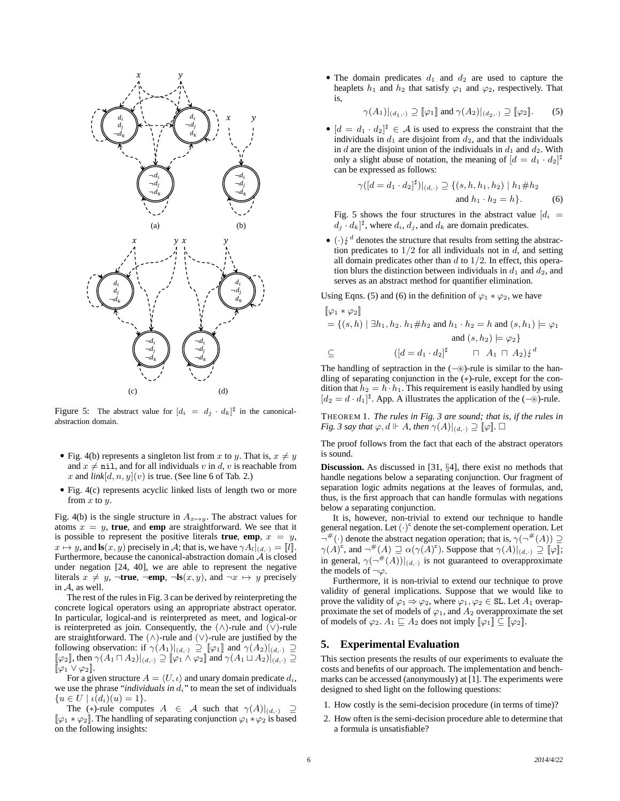

Figure 5: The abstract value for  $[d_i = d_j \cdot d_k]^{\sharp}$  in the canonicalabstraction domain.

- Fig. 4(b) represents a singleton list from x to y. That is,  $x \neq y$ and  $x \neq \text{nil}$ , and for all individuals v in d, v is reachable from x and  $link[d, n, y](v)$  is true. (See line 6 of Tab. 2.)
- Fig. 4(c) represents acyclic linked lists of length two or more from  $x$  to  $y$ .

Fig. 4(b) is the single structure in  $A_{x\mapsto y}$ . The abstract values for atoms  $x = y$ , **true**, and **emp** are straightforward. We see that it is possible to represent the positive literals **true**, **emp**,  $x = y$ ,  $x \mapsto y$ , and **ls** $(x, y)$  precisely in A; that is, we have  $\gamma A_l|_{(d, \cdot)} = [l]$ . Furthermore, because the canonical-abstraction domain  $A$  is closed under negation [24, 40], we are able to represent the negative literals  $x \neq y$ ,  $\neg$ **true**,  $\neg$ **emp**,  $\neg$ **ls** $(x, y)$ , and  $\neg x \mapsto y$  precisely in A, as well.

The rest of the rules in Fig. 3 can be derived by reinterpreting the concrete logical operators using an appropriate abstract operator. In particular, logical-and is reinterpreted as meet, and logical-or is reinterpreted as join. Consequently, the  $(\wedge)$ -rule and  $(\vee)$ -rule are straightforward. The  $(∧)$ -rule and  $(∨)$ -rule are justified by the following observation: if  $\gamma(A_1)|_{(d,\cdot)} \supseteq [\![\varphi_1]\!]$  and  $\gamma(A_2)|_{(d,\cdot)} \supseteq$  $[\![\varphi_2]\!]$ , then  $\gamma(A_1 \sqcap A_2)|_{(d,\cdot)} \supseteq [\![\varphi_1 \wedge \varphi_2]\!]$  and  $\gamma(A_1 \sqcup A_2)|_{(d,\cdot)} \supseteq$  $[\![\varphi_1 \vee \varphi_2]\!]$ .

For a given structure  $A = \langle U, \iota \rangle$  and unary domain predicate  $d_i$ , we use the phrase "*individuals in d<sub>i</sub>*" to mean the set of individuals  ${u \in U \mid \iota(d_i)(u) = 1}.$ 

The (\*)-rule computes  $A \in \mathcal{A}$  such that  $\gamma(A)|_{(d,\cdot)} \supseteq$  $[\varphi_1 * \varphi_2]$ . The handling of separating conjunction  $\varphi_1 * \varphi_2$  is based on the following insights:

• The domain predicates  $d_1$  and  $d_2$  are used to capture the heaplets  $h_1$  and  $h_2$  that satisfy  $\varphi_1$  and  $\varphi_2$ , respectively. That is,

$$
\gamma(A_1)|_{(d_1,\cdot)} \supseteq [\![\varphi_1]\!]
$$
 and 
$$
\gamma(A_2)|_{(d_2,\cdot)} \supseteq [\![\varphi_2]\!].
$$
 (5)

•  $[d = d_1 \cdot d_2]^{\sharp} \in \mathcal{A}$  is used to express the constraint that the individuals in  $d_1$  are disjoint from  $d_2$ , and that the individuals in d are the disjoint union of the individuals in  $d_1$  and  $d_2$ . With only a slight abuse of notation, the meaning of  $[d = d_1 \cdot d_2]^{\sharp}$ can be expressed as follows:

$$
\gamma([d = d_1 \cdot d_2]^{\sharp})|_{(d,\cdot)} \supseteq \{(s, h, h_1, h_2) | h_1 \# h_2
$$
  
and  $h_1 \cdot h_2 = h\}.$  (6)

Fig. 5 shows the four structures in the abstract value  $d_i$  $d_j \cdot d_k$ <sup> $\sharp$ </sup>, where  $d_i$ ,  $d_j$ , and  $d_k$  are domain predicates.

 $\bullet$  ( $\cdot$ )  $\frac{d}{dx}$  denotes the structure that results from setting the abstraction predicates to  $1/2$  for all individuals not in  $\ddot{d}$ , and setting all domain predicates other than  $d$  to  $1/2$ . In effect, this operation blurs the distinction between individuals in  $d_1$  and  $d_2$ , and serves as an abstract method for quantifier elimination.

Using Eqns. (5) and (6) in the definition of  $\varphi_1 * \varphi_2$ , we have

$$
\begin{aligned} \n[\varphi_1 * \varphi_2] &= \{(s, h) \mid \exists h_1, h_2. \ h_1 \# h_2 \text{ and } h_1 \cdot h_2 = h \text{ and } (s, h_1) \models \varphi_1 \\ \n&\text{and } (s, h_2) \models \varphi_2 \} \\ \n&\subseteq \n\end{aligned}
$$
\n
$$
\begin{aligned}\n\left[ \varphi_1 * \varphi_2 \right] &= \n\left[ \left( d = d_1 \cdot d_2 \right)^{\sharp} \quad \sqcap \ A_1 \sqcap A_2 \right) \notin \text{d} \\
\end{aligned}
$$

The handling of septraction in the (−⊛)-rule is similar to the handling of separating conjunction in the (∗)-rule, except for the condition that  $h_2 = h \cdot h_1$ . This requirement is easily handled by using  $[d_2 = d \cdot d_1]^{\sharp}$ . App. A illustrates the application of the (-⊛)-rule.

THEOREM 1. *The rules in Fig. 3 are sound; that is, if the rules in Fig.* 3 say that  $\varphi$ ,  $d \Vdash A$ , then  $\gamma(A)|_{(d,\cdot)} \supseteq [\varphi]$ .  $\Box$ 

The proof follows from the fact that each of the abstract operators is sound.

**Discussion.** As discussed in [31, §4], there exist no methods that handle negations below a separating conjunction. Our fragment of separation logic admits negations at the leaves of formulas, and, thus, is the first approach that can handle formulas with negations below a separating conjunction.

It is, however, non-trivial to extend our technique to handle general negation. Let  $(\cdot)^c$  denote the set-complement operation. Let  $\neg^{\#}(\cdot)$  denote the abstract negation operation; that is,  $\gamma(\neg^{\#}(A)) \supseteq$  $\gamma(A)^c$ , and  $\neg^{\#}(A) \sqsupseteq \alpha(\gamma(A)^c)$ . Suppose that  $\gamma(A)|_{(d,\cdot)} \supseteq [\![\varphi]\!]$ ; in general,  $\gamma(\neg^{\#}(A))|_{(d,\cdot)}$  is not guaranteed to overapproximate the models of  $\neg \varphi$ .

Furthermore, it is non-trivial to extend our technique to prove validity of general implications. Suppose that we would like to prove the validity of  $\varphi_1 \Rightarrow \varphi_2$ , where  $\varphi_1, \varphi_2 \in SL$ . Let  $A_1$  overapproximate the set of models of  $\varphi_1$ , and  $A_2$  overapproximate the set of models of  $\varphi_2$ .  $A_1 \sqsubseteq A_2$  does not imply  $[\varphi_1] \subseteq [\varphi_2]$ .

# **5. Experimental Evaluation**

This section presents the results of our experiments to evaluate the costs and benefits of our approach. The implementation and benchmarks can be accessed (anonymously) at [1]. The experiments were designed to shed light on the following questions:

- 1. How costly is the semi-decision procedure (in terms of time)?
- 2. How often is the semi-decision procedure able to determine that a formula is unsatisfiable?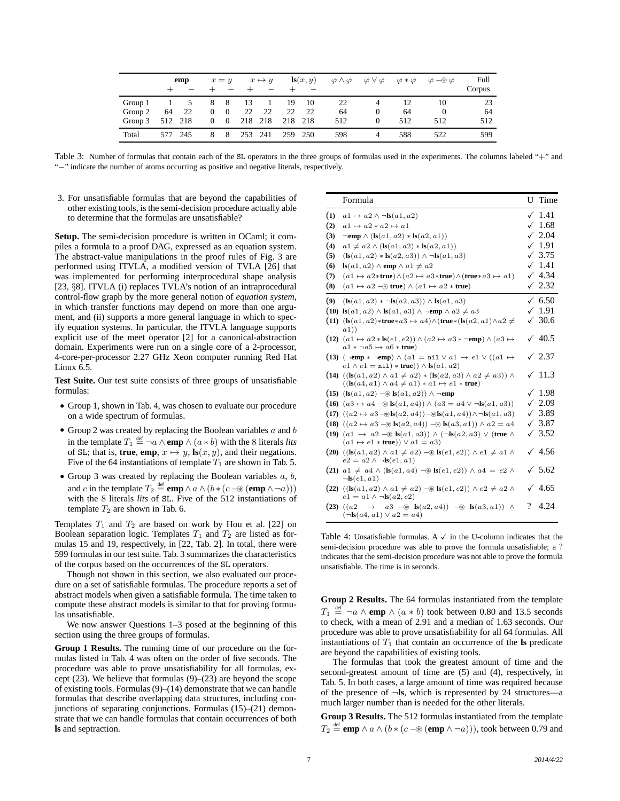|         |     | emp     |              | $x = y$  |     | $x \mapsto y$ |     | $\mathbf{ls}(x, y)$ | $\varphi \wedge \varphi$ | $\varphi \vee \varphi$ | $\varphi * \varphi$ | $\varphi \rightarrow \varphi$ | Full<br>Corpus |
|---------|-----|---------|--------------|----------|-----|---------------|-----|---------------------|--------------------------|------------------------|---------------------|-------------------------------|----------------|
| Group 1 |     |         | 8            | 8        | 13  |               | 19  | 10                  | 22                       |                        | 12                  | 10                            | 23             |
| Group 2 | 64  | 22      | $\mathbf{0}$ | $\theta$ | 22  | 22            | 22  | 22                  | 64                       | $\theta$               | 64                  | $\theta$                      | 64             |
| Group 3 |     | 512 218 | $\mathbf{0}$ | $\theta$ | 218 | 218           |     | 218 218             | 512                      | $\Omega$               | 512                 | 512                           | 512            |
| Total   | 577 | 245     |              | 8        | 253 | 241           | 259 | 250                 | 598                      |                        | 588                 | 522                           | 599            |

Table 3: Number of formulas that contain each of the SL operators in the three groups of formulas used in the experiments. The columns labeled "+" and "−" indicate the number of atoms occurring as positive and negative literals, respectively.

3. For unsatisfiable formulas that are beyond the capabilities of other existing tools, is the semi-decision procedure actually able to determine that the formulas are unsatisfiable?

**Setup.** The semi-decision procedure is written in OCaml; it compiles a formula to a proof DAG, expressed as an equation system. The abstract-value manipulations in the proof rules of Fig. 3 are performed using ITVLA, a modified version of TVLA [26] that was implemented for performing interprocedural shape analysis [23, §8]. ITVLA (i) replaces TVLA's notion of an intraprocedural control-flow graph by the more general notion of *equation system*, in which transfer functions may depend on more than one argument, and (ii) supports a more general language in which to specify equation systems. In particular, the ITVLA language supports explicit use of the meet operator [2] for a canonical-abstraction domain. Experiments were run on a single core of a 2-processor, 4-core-per-processor 2.27 GHz Xeon computer running Red Hat Linux 6.5.

**Test Suite.** Our test suite consists of three groups of unsatisfiable formulas:

- Group 1, shown in Tab. 4, was chosen to evaluate our procedure on a wide spectrum of formulas.
- Group 2 was created by replacing the Boolean variables  $a$  and  $b$ in the template  $T_1 \stackrel{\text{def}}{=} \neg a \wedge \text{emp} \wedge (a * b)$  with the 8 literals *lits* of SL; that is, **true**, **emp**,  $x \mapsto y$ ,  $\mathbf{k}(x, y)$ , and their negations. Five of the 64 instantiations of template  $T_1$  are shown in Tab. 5.
- Group 3 was created by replacing the Boolean variables  $a, b$ , and *c* in the template  $T_2 \stackrel{\text{def}}{=} \text{emp} \land a \land (b * (c - \circledast (\text{emp} \land \neg a)))$ with the 8 literals *lits* of SL. Five of the 512 instantiations of template  $T_2$  are shown in Tab. 6.

Templates  $T_1$  and  $T_2$  are based on work by Hou et al. [22] on Boolean separation logic. Templates  $T_1$  and  $T_2$  are listed as formulas 15 and 19, respectively, in [22, Tab. 2]. In total, there were 599 formulas in our test suite. Tab. 3 summarizes the characteristics of the corpus based on the occurrences of the SL operators.

Though not shown in this section, we also evaluated our procedure on a set of satisfiable formulas. The procedure reports a set of abstract models when given a satisfiable formula. The time taken to compute these abstract models is similar to that for proving formulas unsatisfiable.

We now answer Questions 1–3 posed at the beginning of this section using the three groups of formulas.

**Group 1 Results.** The running time of our procedure on the formulas listed in Tab. 4 was often on the order of five seconds. The procedure was able to prove unsatisfiability for all formulas, except  $(23)$ . We believe that formulas  $(9)$ – $(23)$  are beyond the scope of existing tools. Formulas (9)–(14) demonstrate that we can handle formulas that describe overlapping data structures, including conjunctions of separating conjunctions. Formulas (15)–(21) demonstrate that we can handle formulas that contain occurrences of both **ls** and septraction.

|     | Formula                                                                                                                                                               |   | U Time            |
|-----|-----------------------------------------------------------------------------------------------------------------------------------------------------------------------|---|-------------------|
| (1) | $a1 \mapsto a2 \wedge \neg \mathbf{ls}(a1, a2)$                                                                                                                       |   | $\checkmark$ 1.41 |
| (2) | $a1 \mapsto a2 \times a2 \mapsto a1$                                                                                                                                  |   | $\sqrt{1.68}$     |
| (3) | $\neg$ emp $\wedge$ (ks(a1, a2) * ks(a2, a1))                                                                                                                         |   | $\sqrt{2.04}$     |
| (4) | $a1 \neq a2 \wedge (\mathbf{ls}(a1, a2) * \mathbf{ls}(a2, a1))$                                                                                                       |   | $\checkmark$ 1.91 |
| (5) | $(\lg(a1, a2) * \lg(a2, a3)) \wedge \neg \lg(a1, a3)$                                                                                                                 | ✓ | 3.75              |
| (6) | $\mathbf{ls}(a1, a2) \wedge \mathbf{emp} \wedge a1 \neq a2$                                                                                                           |   | $\sqrt{1.41}$     |
| (7) | $(a1 \mapsto a2*true) \wedge (a2 \mapsto a3*true) \wedge (true*a3 \mapsto a1)$                                                                                        |   | $\sqrt{4.34}$     |
| (8) | $(a1 \mapsto a2 \in \mathbb{R}$ true) $\wedge (a1 \mapsto a2 * \mathbb{r}$ true)                                                                                      |   | $\sqrt{2.32}$     |
| (9) | $(\mathbf{ls}(a1, a2) * \neg \mathbf{ls}(a2, a3)) \wedge \mathbf{ls}(a1, a3)$                                                                                         |   | $\sqrt{6.50}$     |
|     | (10) $\mathbf{ls}(a1, a2) \wedge \mathbf{ls}(a1, a3) \wedge \neg \mathbf{emp} \wedge a2 \neq a3$                                                                      |   | $\sqrt{1.91}$     |
|     | (11) $(\text{ls}(a1, a2) * \text{true} * a3 \mapsto a4) \wedge (\text{true} * (\text{ls}(a2, a1) \wedge a2 \neq$<br>a1)                                               |   | $\sqrt{30.6}$     |
|     | $(12)$ $(a1 \mapsto a2 * \text{ls}(e1, e2)) \wedge (a2 \mapsto a3 * \neg \text{emp}) \wedge (a3 \mapsto$<br>$a1 * \neg a5 \mapsto a6 * true$                          |   | $\sqrt{40.5}$     |
|     | (13) $(\neg \text{emp} * \neg \text{emp}) \land (a1 = \text{nil} \lor a1 \mapsto e1 \lor ((a1 \mapsto$<br>$e1 \wedge e1 = \text{nil}$ * true)) $\wedge$ ls $(a1, a2)$ | ✓ | 2.37              |
|     | $(14)$ $((\text{ls}(a1, a2) \wedge a1 \neq a2) * (\text{ls}(a2, a3) \wedge a2 \neq a3)) \wedge$<br>$((\text{ls}(a4, a1) \wedge a4 \neq a1) * a1 \mapsto e1 * true)$   |   | 11.3              |
|     | (15) (ls(a1, a2) –⊛ ls(a1, a2)) ∧ ¬emp                                                                                                                                |   | $\sqrt{1.98}$     |
|     | (16) $(a3 \mapsto a4 - \textcircled{*} \mathbf{ls}(a1, a4)) \wedge (a3 = a4 \vee \neg \mathbf{ls}(a1, a3))$                                                           | ✓ | 2.09              |
|     | (17) $((a2 \mapsto a3-\&\mathbf{ls}(a2, a4))-\&\mathbf{ls}(a1, a4)) \wedge \neg \mathbf{ls}(a1, a3)$                                                                  |   | $\sqrt{3.89}$     |
|     | (18) $((a2 \mapsto a3 - \text{B})\text{ls}(a2, a4)) - \text{B} \text{ls}(a3, a1)) \wedge a2 = a4$                                                                     | ✓ | 3.87              |
|     | (19) $(a1 \mapsto a2 \in \mathbf{ls}(a1, a3)) \wedge (\neg \mathbf{ls}(a2, a3) \vee (\mathbf{true} \wedge$<br>$(a1 \mapsto e1 * true)) \vee a1 = a3$                  |   | $\sqrt{3.52}$     |
|     | $(20)$ $((\text{ls}(a1, a2) \wedge a1 \neq a2) \rightarrow \text{ls}(e1, e2)) \wedge e1 \neq a1 \wedge$<br>$e2 = a2 \wedge \neg \mathbf{ls}(e1, a1)$                  |   | $\sqrt{4.56}$     |
|     | (21) $a1 \neq a4 \wedge (\text{ls}(a1, a4) - \text{\$ls}(e1, e2)) \wedge a4 = e2 \wedge$<br>$\neg$ <b>Is</b> $(e1, a1)$                                               |   | $\sqrt{5.62}$     |
|     | $(22)$ $((\text{ls}(a1, a2) \wedge a1 \neq a2) - \circledast \text{ls}(e1, e2)) \wedge e2 \neq a2 \wedge$<br>$e1 = a1 \wedge \neg \text{ls}(a2, e2)$                  |   | $\sqrt{4.65}$     |
|     | $(23)$ $((a2)$<br>$\mapsto$ $a3 \rightarrow \mathbb{B}(a2, a4)$ $\rightarrow \mathbb{B}(a3, a1)$ $\wedge$<br>$(\neg \mathbf{ls}(a4, a1) \lor a2 = a4)$                | ? | 4.24              |

Table 4: Unsatisfiable formulas. A  $\checkmark$  in the U-column indicates that the semi-decision procedure was able to prove the formula unsatisfiable; a ? indicates that the semi-decision procedure was not able to prove the formula unsatisfiable. The time is in seconds.

**Group 2 Results.** The 64 formulas instantiated from the template  $T_1 \stackrel{\text{def}}{=} \neg a \land \text{emp} \land (a * b)$  took between 0.80 and 13.5 seconds to check, with a mean of 2.91 and a median of 1.63 seconds. Our procedure was able to prove unsatisfiability for all 64 formulas. All instantiations of  $T_1$  that contain an occurrence of the **ls** predicate are beyond the capabilities of existing tools.

The formulas that took the greatest amount of time and the second-greatest amount of time are (5) and (4), respectively, in Tab. 5. In both cases, a large amount of time was required because of the presence of ¬**ls**, which is represented by 24 structures—a much larger number than is needed for the other literals.

**Group 3 Results.** The 512 formulas instantiated from the template  $T_2 \stackrel{\text{\tiny def}}{=} \mathbf{emp} \land a \land (b * (c - \circledast (\mathbf{emp} \land \neg a))),$  took between 0.79 and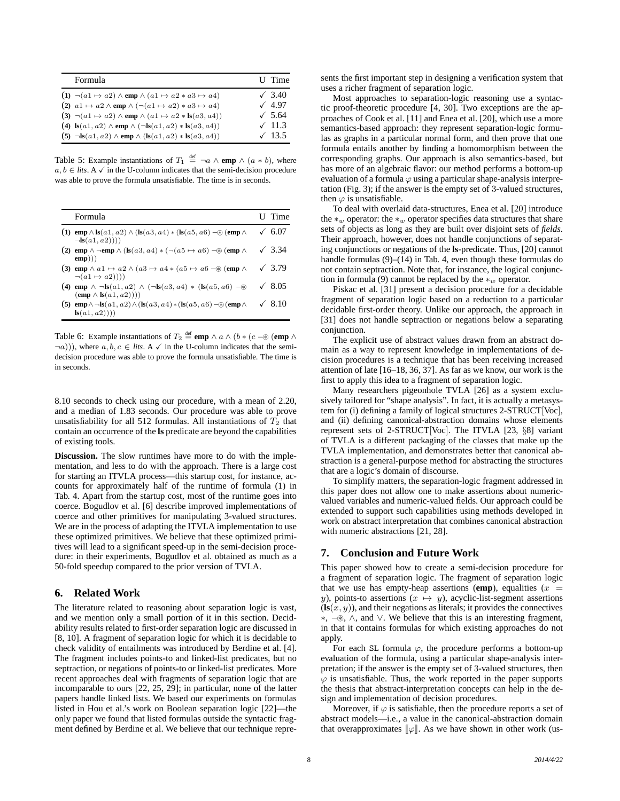| Formula                                                                                                                 | U Time        |
|-------------------------------------------------------------------------------------------------------------------------|---------------|
| $(1) \neg (a1 \mapsto a2) \wedge$ emp $\wedge (a1 \mapsto a2 \ast a3 \mapsto a4)$                                       | $\sqrt{3.40}$ |
| (2) $a1 \mapsto a2 \wedge \text{emp} \wedge (\neg (a1 \mapsto a2) * a3 \mapsto a4)$                                     | $\sqrt{4.97}$ |
| (3) $\neg(a1 \mapsto a2) \wedge \text{emp} \wedge (a1 \mapsto a2 * \text{ls}(a3, a4))$                                  | $\sqrt{5.64}$ |
| (4) $\text{ls}(a1, a2) \wedge \text{emp} \wedge (\neg \text{ls}(a1, a2) * \text{ls}(a3, a4))$                           | $\sqrt{11.3}$ |
| $(5)$ $\neg$ <b>ls</b> $(a1, a2)$ $\wedge$ <b>emp</b> $\wedge$ $($ <b>ls</b> $(a1, a2)$ $\ast$ <b>ls</b> $(a3, a4)$ $)$ | $\sqrt{13.5}$ |

Table 5: Example instantiations of  $T_1 \stackrel{\text{def}}{=} \neg a \wedge \text{emp} \wedge (a * b)$ , where  $a, b \in$  *lits*. A  $\checkmark$  in the U-column indicates that the semi-decision procedure was able to prove the formula unsatisfiable. The time is in seconds.

| Formula                                                                                                                                                     | U Time        |
|-------------------------------------------------------------------------------------------------------------------------------------------------------------|---------------|
| (1) emp $\wedge$ ls(a1, a2) $\wedge$ (ls(a3, a4) $\ast$ (ls(a5, a6) $-\circledast$ (emp $\wedge$<br>$\neg$ <b>Is</b> $(a1, a2))$                            | 6.07          |
| (2) emp $\wedge \neg$ emp $\wedge$ (ls(a3, a4) $\ast$ ( $\neg$ (a5 $\mapsto$ a6) $\neg$ (emp $\wedge$<br>$\textbf{emp}$ ))                                  | $\sqrt{3.34}$ |
| (3) emp $\wedge$ a 1 $\mapsto$ a 2 $\wedge$ (a 3 $\mapsto$ a 4 $\ast$ (a 5 $\mapsto$ a 6 $-\circledast$ (emp $\wedge$<br>$\neg(a1 \mapsto a2))$             | $\sqrt{3.79}$ |
| (4) emp $\wedge \neg \text{ls}(a1, a2) \wedge (\neg \text{ls}(a3, a4) * (\text{ls}(a5, a6) - \circledast)$<br>$(\mathbf{emp} \wedge \mathbf{ls}(a1, a2))))$ | $\sqrt{8.05}$ |
| (5) $\exp \wedge \neg \text{ls}(a1, a2) \wedge (\text{ls}(a3, a4) * (\text{ls}(a5, a6) - \circledast (\text{emp} \wedge$<br>$\mathbf{ls}(a1, a2))$          | 8.10          |

Table 6: Example instantiations of  $T_2 \stackrel{\text{def}}{=} \text{emp} \land a \land (b * (c - \circledast (\text{emp} \land$  $(\neg a))$ , where  $a, b, c \in$  *lits*. A  $\checkmark$  in the U-column indicates that the semidecision procedure was able to prove the formula unsatisfiable. The time is in seconds.

8.10 seconds to check using our procedure, with a mean of 2.20, and a median of 1.83 seconds. Our procedure was able to prove unsatisfiability for all 512 formulas. All instantiations of  $T_2$  that contain an occurrence of the **ls** predicate are beyond the capabilities of existing tools.

**Discussion.** The slow runtimes have more to do with the implementation, and less to do with the approach. There is a large cost for starting an ITVLA process—this startup cost, for instance, accounts for approximately half of the runtime of formula (1) in Tab. 4. Apart from the startup cost, most of the runtime goes into coerce. Bogudlov et al. [6] describe improved implementations of coerce and other primitives for manipulating 3-valued structures. We are in the process of adapting the ITVLA implementation to use these optimized primitives. We believe that these optimized primitives will lead to a significant speed-up in the semi-decision procedure: in their experiments, Bogudlov et al. obtained as much as a 50-fold speedup compared to the prior version of TVLA.

## **6. Related Work**

The literature related to reasoning about separation logic is vast, and we mention only a small portion of it in this section. Decidability results related to first-order separation logic are discussed in [8, 10]. A fragment of separation logic for which it is decidable to check validity of entailments was introduced by Berdine et al. [4]. The fragment includes points-to and linked-list predicates, but no septraction, or negations of points-to or linked-list predicates. More recent approaches deal with fragments of separation logic that are incomparable to ours [22, 25, 29]; in particular, none of the latter papers handle linked lists. We based our experiments on formulas listed in Hou et al.'s work on Boolean separation logic [22]—the only paper we found that listed formulas outside the syntactic fragment defined by Berdine et al. We believe that our technique represents the first important step in designing a verification system that uses a richer fragment of separation logic.

Most approaches to separation-logic reasoning use a syntactic proof-theoretic procedure [4, 30]. Two exceptions are the approaches of Cook et al. [11] and Enea et al. [20], which use a more semantics-based approach: they represent separation-logic formulas as graphs in a particular normal form, and then prove that one formula entails another by finding a homomorphism between the corresponding graphs. Our approach is also semantics-based, but has more of an algebraic flavor: our method performs a bottom-up evaluation of a formula  $\varphi$  using a particular shape-analysis interpretation (Fig. 3); if the answer is the empty set of 3-valued structures, then  $\varphi$  is unsatisfiable.

To deal with overlaid data-structures, Enea et al. [20] introduce the  $*_w$  operator: the  $*_w$  operator specifies data structures that share sets of objects as long as they are built over disjoint sets of *fields*. Their approach, however, does not handle conjunctions of separating conjunctions or negations of the **ls**-predicate. Thus, [20] cannot handle formulas (9)–(14) in Tab. 4, even though these formulas do not contain septraction. Note that, for instance, the logical conjunction in formula (9) cannot be replaced by the  $*_w$  operator.

Piskac et al. [31] present a decision procedure for a decidable fragment of separation logic based on a reduction to a particular decidable first-order theory. Unlike our approach, the approach in [31] does not handle septraction or negations below a separating conjunction.

The explicit use of abstract values drawn from an abstract domain as a way to represent knowledge in implementations of decision procedures is a technique that has been receiving increased attention of late [16–18, 36, 37]. As far as we know, our work is the first to apply this idea to a fragment of separation logic.

Many researchers pigeonhole TVLA [26] as a system exclusively tailored for "shape analysis". In fact, it is actually a metasystem for (i) defining a family of logical structures 2-STRUCT[Voc], and (ii) defining canonical-abstraction domains whose elements represent sets of 2-STRUCT[Voc]. The ITVLA [23, §8] variant of TVLA is a different packaging of the classes that make up the TVLA implementation, and demonstrates better that canonical abstraction is a general-purpose method for abstracting the structures that are a logic's domain of discourse.

To simplify matters, the separation-logic fragment addressed in this paper does not allow one to make assertions about numericvalued variables and numeric-valued fields. Our approach could be extended to support such capabilities using methods developed in work on abstract interpretation that combines canonical abstraction with numeric abstractions [21, 28].

# **7. Conclusion and Future Work**

This paper showed how to create a semi-decision procedure for a fragment of separation logic. The fragment of separation logic that we use has empty-heap assertions (emp), equalities  $(x =$ y), points-to assertions  $(x \mapsto y)$ , acyclic-list-segment assertions  $(\mathbf{ls}(x, y))$ , and their negations as literals; it provides the connectives ∗, −⊛, ∧, and ∨. We believe that this is an interesting fragment, in that it contains formulas for which existing approaches do not apply.

For each SL formula  $\varphi$ , the procedure performs a bottom-up evaluation of the formula, using a particular shape-analysis interpretation; if the answer is the empty set of 3-valued structures, then  $\varphi$  is unsatisfiable. Thus, the work reported in the paper supports the thesis that abstract-interpretation concepts can help in the design and implementation of decision procedures.

Moreover, if  $\varphi$  is satisfiable, then the procedure reports a set of abstract models—i.e., a value in the canonical-abstraction domain that overapproximates  $\llbracket \varphi \rrbracket$ . As we have shown in other work (us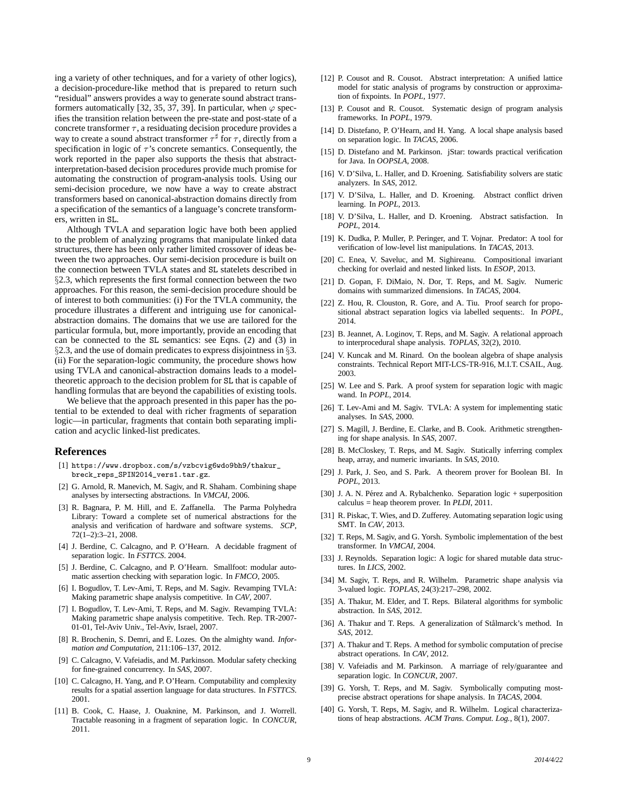ing a variety of other techniques, and for a variety of other logics), a decision-procedure-like method that is prepared to return such "residual" answers provides a way to generate sound abstract transformers automatically [32, 35, 37, 39]. In particular, when  $\varphi$  specifies the transition relation between the pre-state and post-state of a concrete transformer  $\tau$ , a residuating decision procedure provides a way to create a sound abstract transformer  $\tau^{\sharp}$  for  $\tau$ , directly from a specification in logic of  $\tau$ 's concrete semantics. Consequently, the work reported in the paper also supports the thesis that abstractinterpretation-based decision procedures provide much promise for automating the construction of program-analysis tools. Using our semi-decision procedure, we now have a way to create abstract transformers based on canonical-abstraction domains directly from a specification of the semantics of a language's concrete transformers, written in SL.

Although TVLA and separation logic have both been applied to the problem of analyzing programs that manipulate linked data structures, there has been only rather limited crossover of ideas between the two approaches. Our semi-decision procedure is built on the connection between TVLA states and SL statelets described in §2.3, which represents the first formal connection between the two approaches. For this reason, the semi-decision procedure should be of interest to both communities: (i) For the TVLA community, the procedure illustrates a different and intriguing use for canonicalabstraction domains. The domains that we use are tailored for the particular formula, but, more importantly, provide an encoding that can be connected to the SL semantics: see Eqns. (2) and (3) in §2.3, and the use of domain predicates to express disjointness in §3. (ii) For the separation-logic community, the procedure shows how using TVLA and canonical-abstraction domains leads to a modeltheoretic approach to the decision problem for SL that is capable of handling formulas that are beyond the capabilities of existing tools.

We believe that the approach presented in this paper has the potential to be extended to deal with richer fragments of separation logic—in particular, fragments that contain both separating implication and acyclic linked-list predicates.

#### **References**

- [1] https://www.dropbox.com/s/vzbcvig6wdo9bh9/thakur\_ breck\_reps\_SPIN2014\_vers1.tar.gz.
- [2] G. Arnold, R. Manevich, M. Sagiv, and R. Shaham. Combining shape analyses by intersecting abstractions. In *VMCAI*, 2006.
- [3] R. Bagnara, P. M. Hill, and E. Zaffanella. The Parma Polyhedra Library: Toward a complete set of numerical abstractions for the analysis and verification of hardware and software systems. *SCP*, 72(1–2):3–21, 2008.
- [4] J. Berdine, C. Calcagno, and P. O'Hearn. A decidable fragment of separation logic. In *FSTTCS*. 2004.
- [5] J. Berdine, C. Calcagno, and P. O'Hearn. Smallfoot: modular automatic assertion checking with separation logic. In *FMCO*, 2005.
- [6] I. Bogudlov, T. Lev-Ami, T. Reps, and M. Sagiv. Revamping TVLA: Making parametric shape analysis competitive. In *CAV*, 2007.
- [7] I. Bogudlov, T. Lev-Ami, T. Reps, and M. Sagiv. Revamping TVLA: Making parametric shape analysis competitive. Tech. Rep. TR-2007- 01-01, Tel-Aviv Univ., Tel-Aviv, Israel, 2007.
- [8] R. Brochenin, S. Demri, and E. Lozes. On the almighty wand. *Information and Computation*, 211:106–137, 2012.
- [9] C. Calcagno, V. Vafeiadis, and M. Parkinson. Modular safety checking for fine-grained concurrency. In *SAS*, 2007.
- [10] C. Calcagno, H. Yang, and P. O'Hearn. Computability and complexity results for a spatial assertion language for data structures. In *FSTTCS*. 2001.
- [11] B. Cook, C. Haase, J. Ouaknine, M. Parkinson, and J. Worrell. Tractable reasoning in a fragment of separation logic. In *CONCUR*, 2011.
- [12] P. Cousot and R. Cousot. Abstract interpretation: A unified lattice model for static analysis of programs by construction or approximation of fixpoints. In *POPL*, 1977.
- [13] P. Cousot and R. Cousot. Systematic design of program analysis frameworks. In *POPL*, 1979.
- [14] D. Distefano, P. O'Hearn, and H. Yang. A local shape analysis based on separation logic. In *TACAS*, 2006.
- [15] D. Distefano and M. Parkinson. jStar: towards practical verification for Java. In *OOPSLA*, 2008.
- [16] V. D'Silva, L. Haller, and D. Kroening. Satisfiability solvers are static analyzers. In *SAS*, 2012.
- [17] V. D'Silva, L. Haller, and D. Kroening. Abstract conflict driven learning. In *POPL*, 2013.
- [18] V. D'Silva, L. Haller, and D. Kroening. Abstract satisfaction. In *POPL*, 2014.
- [19] K. Dudka, P. Muller, P. Peringer, and T. Vojnar. Predator: A tool for verification of low-level list manipulations. In *TACAS*, 2013.
- [20] C. Enea, V. Saveluc, and M. Sighireanu. Compositional invariant checking for overlaid and nested linked lists. In *ESOP*, 2013.
- [21] D. Gopan, F. DiMaio, N. Dor, T. Reps, and M. Sagiv. Numeric domains with summarized dimensions. In *TACAS*, 2004.
- [22] Z. Hou, R. Clouston, R. Gore, and A. Tiu. Proof search for propositional abstract separation logics via labelled sequents:. In *POPL*, 2014.
- [23] B. Jeannet, A. Loginov, T. Reps, and M. Sagiv. A relational approach to interprocedural shape analysis. *TOPLAS*, 32(2), 2010.
- [24] V. Kuncak and M. Rinard. On the boolean algebra of shape analysis constraints. Technical Report MIT-LCS-TR-916, M.I.T. CSAIL, Aug. 2003.
- [25] W. Lee and S. Park. A proof system for separation logic with magic wand. In *POPL*, 2014.
- [26] T. Lev-Ami and M. Sagiv. TVLA: A system for implementing static analyses. In *SAS*, 2000.
- [27] S. Magill, J. Berdine, E. Clarke, and B. Cook. Arithmetic strengthening for shape analysis. In *SAS*, 2007.
- [28] B. McCloskey, T. Reps, and M. Sagiv. Statically inferring complex heap, array, and numeric invariants. In *SAS*, 2010.
- [29] J. Park, J. Seo, and S. Park. A theorem prover for Boolean BI. In *POPL*, 2013.
- [30] J. A. N. Pérez and A. Rybalchenko. Separation logic + superposition calculus = heap theorem prover. In *PLDI*, 2011.
- [31] R. Piskac, T. Wies, and D. Zufferey. Automating separation logic using SMT. In *CAV*, 2013.
- [32] T. Reps, M. Sagiv, and G. Yorsh. Symbolic implementation of the best transformer. In *VMCAI*, 2004.
- [33] J. Reynolds. Separation logic: A logic for shared mutable data structures. In *LICS*, 2002.
- [34] M. Sagiv, T. Reps, and R. Wilhelm. Parametric shape analysis via 3-valued logic. *TOPLAS*, 24(3):217–298, 2002.
- [35] A. Thakur, M. Elder, and T. Reps. Bilateral algorithms for symbolic abstraction. In *SAS*, 2012.
- [36] A. Thakur and T. Reps. A generalization of Stålmarck's method. In *SAS*, 2012.
- [37] A. Thakur and T. Reps. A method for symbolic computation of precise abstract operations. In *CAV*, 2012.
- [38] V. Vafeiadis and M. Parkinson. A marriage of rely/guarantee and separation logic. In *CONCUR*, 2007.
- [39] G. Yorsh, T. Reps, and M. Sagiv. Symbolically computing mostprecise abstract operations for shape analysis. In *TACAS*, 2004.
- [40] G. Yorsh, T. Reps, M. Sagiv, and R. Wilhelm. Logical characterizations of heap abstractions. *ACM Trans. Comput. Log.*, 8(1), 2007.